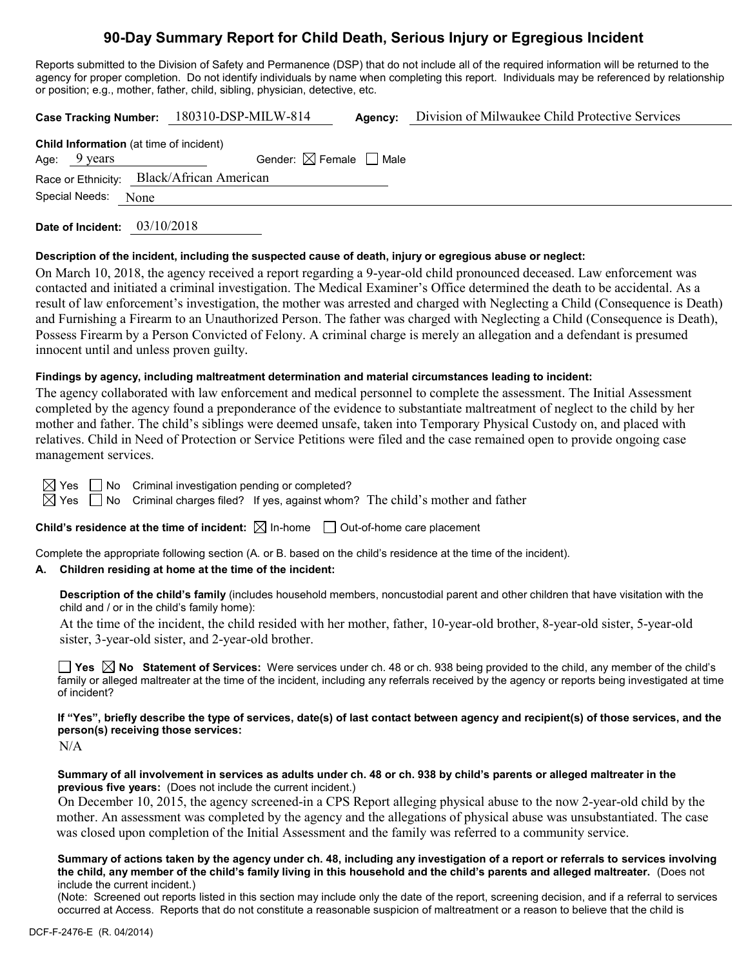## **90-Day Summary Report for Child Death, Serious Injury or Egregious Incident**

Reports submitted to the Division of Safety and Permanence (DSP) that do not include all of the required information will be returned to the agency for proper completion. Do not identify individuals by name when completing this report. Individuals may be referenced by relationship or position; e.g., mother, father, child, sibling, physician, detective, etc.

|                                                |                        | Case Tracking Number: 180310-DSP-MILW-814 | Agency: | Division of Milwaukee Child Protective Services |  |  |  |
|------------------------------------------------|------------------------|-------------------------------------------|---------|-------------------------------------------------|--|--|--|
| <b>Child Information</b> (at time of incident) |                        |                                           |         |                                                 |  |  |  |
|                                                | Age: $9 \text{ years}$ | Gender: $\boxtimes$ Female $\Box$ Male    |         |                                                 |  |  |  |
| Race or Ethnicity: Black/African American      |                        |                                           |         |                                                 |  |  |  |
| Special Needs: None                            |                        |                                           |         |                                                 |  |  |  |
|                                                |                        |                                           |         |                                                 |  |  |  |

**Date of Incident:** 03/10/2018

#### **Description of the incident, including the suspected cause of death, injury or egregious abuse or neglect:**

On March 10, 2018, the agency received a report regarding a 9-year-old child pronounced deceased. Law enforcement was contacted and initiated a criminal investigation. The Medical Examiner's Office determined the death to be accidental. As a result of law enforcement's investigation, the mother was arrested and charged with Neglecting a Child (Consequence is Death) and Furnishing a Firearm to an Unauthorized Person. The father was charged with Neglecting a Child (Consequence is Death), Possess Firearm by a Person Convicted of Felony. A criminal charge is merely an allegation and a defendant is presumed innocent until and unless proven guilty*.*

#### **Findings by agency, including maltreatment determination and material circumstances leading to incident:**

The agency collaborated with law enforcement and medical personnel to complete the assessment. The Initial Assessment completed by the agency found a preponderance of the evidence to substantiate maltreatment of neglect to the child by her mother and father. The child's siblings were deemed unsafe, taken into Temporary Physical Custody on, and placed with relatives. Child in Need of Protection or Service Petitions were filed and the case remained open to provide ongoing case management services.

 $\Box$  No Criminal investigation pending or completed?

 $\boxtimes$  Yes  $\Box$  No Criminal charges filed? If yes, against whom? The child's mother and father

**Child's residence at the time of incident:**  $\boxtimes$  In-home  $\Box$  Out-of-home care placement

Complete the appropriate following section (A. or B. based on the child's residence at the time of the incident).

### **A. Children residing at home at the time of the incident:**

**Description of the child's family** (includes household members, noncustodial parent and other children that have visitation with the child and / or in the child's family home):

At the time of the incident, the child resided with her mother, father, 10-year-old brother, 8-year-old sister, 5-year-old sister, 3-year-old sister, and 2-year-old brother.

**Yes No Statement of Services:** Were services under ch. 48 or ch. 938 being provided to the child, any member of the child's family or alleged maltreater at the time of the incident, including any referrals received by the agency or reports being investigated at time of incident?

**If "Yes", briefly describe the type of services, date(s) of last contact between agency and recipient(s) of those services, and the person(s) receiving those services:**

 $N/A$ 

**Summary of all involvement in services as adults under ch. 48 or ch. 938 by child's parents or alleged maltreater in the previous five years:** (Does not include the current incident.)

 On December 10, 2015, the agency screened-in a CPS Report alleging physical abuse to the now 2-year-old child by the mother. An assessment was completed by the agency and the allegations of physical abuse was unsubstantiated. The case was closed upon completion of the Initial Assessment and the family was referred to a community service.

**Summary of actions taken by the agency under ch. 48, including any investigation of a report or referrals to services involving the child, any member of the child's family living in this household and the child's parents and alleged maltreater.** (Does not include the current incident.)

(Note: Screened out reports listed in this section may include only the date of the report, screening decision, and if a referral to services occurred at Access. Reports that do not constitute a reasonable suspicion of maltreatment or a reason to believe that the child is